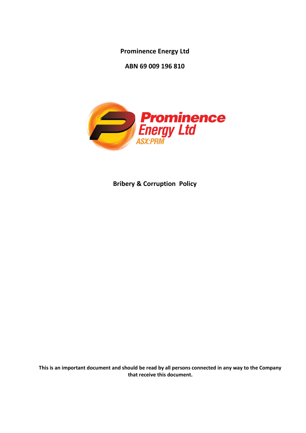**Prominence Energy Ltd**

**ABN 69 009 196 810**



**Bribery & Corruption Policy**

**This is an important document and should be read by all persons connected in any way to the Company that receive this document.**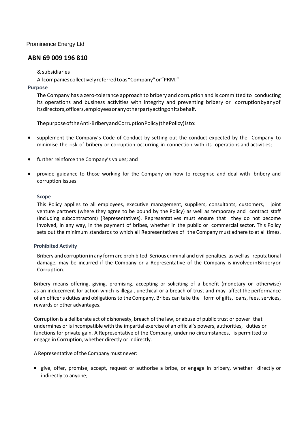Prominence Energy Ltd

# **ABN 69 009 196 810**

## &subsidiaries

Allcompaniescollectivelyreferredtoas"Company"or"PRM."

## **Purpose**

The Company has a zero-tolerance approach to bribery and corruption and is committed to conducting its operations and business activities with integrity and preventing bribery or corruptionbyanyof itsdirectors,officers,employeesoranyotherpartyactingonitsbehalf.

ThepurposeoftheAnti-BriberyandCorruptionPolicy(thePolicy)isto:

- supplement the Company's Code of Conduct by setting out the conduct expected by the Company to minimise the risk of bribery or corruption occurring in connection with its operations and activities;
- further reinforce the Company's values; and
- provide guidance to those working for the Company on how to recognise and deal with bribery and corruption issues.

#### **Scope**

This Policy applies to all employees, executive management, suppliers, consultants, customers, joint venture partners (where they agree to be bound by the Policy) as well as temporary and contract staff (including subcontractors) (Representatives). Representatives must ensure that they do not become involved, in any way, in the payment of bribes, whether in the public or commercial sector. This Policy sets out the minimum standards to which all Representatives of the Company must adhere to at all times.

# **Prohibited Activity**

Bribery and corruption in any form are prohibited. Serious criminal and civil penalties, as well as reputational damage, may be incurred if the Company or a Representative of the Company is involvedinBriberyor Corruption.

Bribery means offering, giving, promising, accepting or soliciting of a benefit (monetary or otherwise) as an inducement for action which is illegal, unethical or a breach of trust and may affect the performance of an officer's duties and obligations to the Company. Bribes can take the form of gifts, loans, fees, services, rewards or other advantages.

Corruption is a deliberate act of dishonesty, breach of the law, or abuse of public trust or power that undermines or is incompatible with the impartial exercise of an official's powers, authorities, duties or functions for private gain. A Representative of the Company, under no circumstances, is permitted to engage in Corruption, whether directly or indirectly.

A Representative of the Company must never:

• give, offer, promise, accept, request or authorise a bribe, or engage in bribery, whether directly or indirectly to anyone;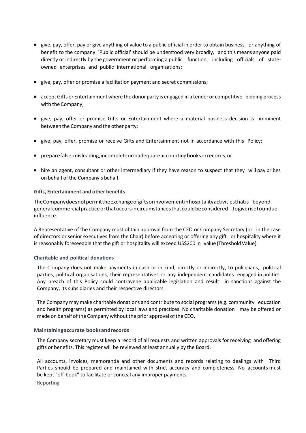- give, pay, offer, pay or give anything of value to a public official in order to obtain business or anything of benefit to the company. 'Public official' should be understood very broadly, and this means anyone paid directly or indirectly by the government or performing a public function, including officials of stateowned enterprises and public international organisations;
- give, pay, offer or promise a facilitation payment and secret commissions;
- acceptGifts or Entertainment where the donor party is engaged in a tender or competitive bidding process with the Company;
- give, pay, offer or promise Gifts or Entertainment where a material business decision is imminent between the Company and the other party;
- give, pay, offer, promise or receive Gifts and Entertainment not in accordance with this Policy;
- preparefalse,misleading,incompleteorinadequateaccountingbooksorrecords;or
- hire an agent, consultant or other intermediary if they have reason to suspect that they will pay bribes on behalf of the Company's behalf.

## **Gifts, Entertainment and other benefits**

TheCompanydoesnotpermittheexchangeofgiftsorinvolvementinhospitalityactivitiesthatis beyond generalcommercialpracticeorthatoccursincircumstancesthatcouldbeconsidered togiverisetoundue influence.

A Representative of the Company must obtain approval from the CEO or Company Secretary (or in the case of directors or senior executives from the Chair) before accepting or offering any gift or hospitality where it is reasonably foreseeable that the gift or hospitality will exceed US\$200 in value (Threshold Value).

# **Charitable and political donations**

The Company does not make payments in cash or in kind, directly or indirectly, to politicians, political parties, political organisations, their representatives or any independent candidates engaged in politics. Any breach of this Policy could contravene applicable legislation and result in sanctions against the Company, its subsidiaries and their respective directors.

The Company may make charitable donations and contribute to social programs (e.g. community education and health programs) as permitted by local laws and practices. No charitable donation may be offered or made on behalf of the Company without the prior approval of the CEO.

# **Maintainingaccurate booksandrecords**

The Company secretary must keep a record of all requests and written approvals for receiving and offering gifts or benefits. This register will be reviewed at least annually by the Board.

All accounts, invoices, memoranda and other documents and records relating to dealings with Third Parties should be prepared and maintained with strict accuracy and completeness. No accounts must be kept "off-book" to facilitate or conceal any improper payments. Reporting